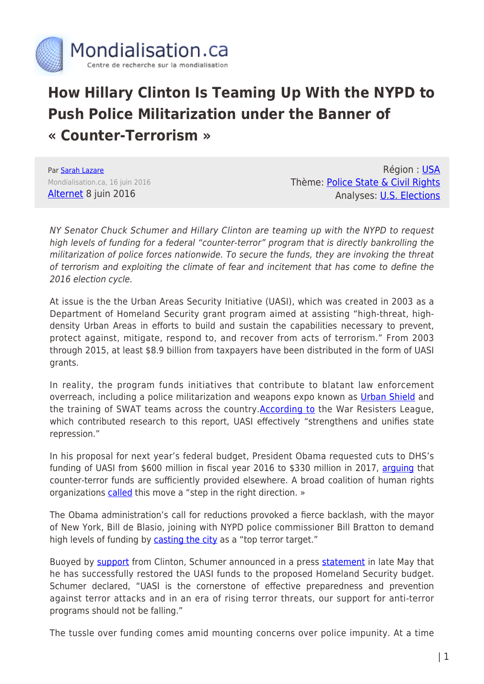

## **How Hillary Clinton Is Teaming Up With the NYPD to Push Police Militarization under the Banner of « Counter-Terrorism »**

Par [Sarah Lazare](https://www.mondialisation.ca/author/sarah-lazare) Mondialisation.ca, 16 juin 2016 [Alternet](http://www.alternet.org/grayzone-project/how-hillary-clinton-and-chuck-schumer-are-teaming-nypd-push-police-militarization) 8 juin 2016

Région : [USA](https://www.mondialisation.ca/region/usa) Thème: [Police State & Civil Rights](https://www.mondialisation.ca/theme/police-state-civil-rights) Analyses: [U.S. Elections](https://www.mondialisation.ca/indepthreport/u-s-elections)

NY Senator Chuck Schumer and Hillary Clinton are teaming up with the NYPD to request high levels of funding for a federal "counter-terror" program that is directly bankrolling the militarization of police forces nationwide. To secure the funds, they are invoking the threat of terrorism and exploiting the climate of fear and incitement that has come to define the 2016 election cycle.

At issue is the the Urban Areas Security Initiative (UASI), which was created in 2003 as a Department of Homeland Security grant program aimed at assisting "high-threat, highdensity Urban Areas in efforts to build and sustain the capabilities necessary to prevent, protect against, mitigate, respond to, and recover from acts of terrorism." From 2003 through 2015, at least \$8.9 billion from taxpayers have been distributed in the form of UASI grants.

In reality, the program funds initiatives that contribute to blatant law enforcement overreach, including a police militarization and weapons expo known as [Urban Shield](http://www.commondreams.org/news/2014/09/04/grassroots-resistance-police-militarization-expo-descends-oakland) and the training of SWAT teams across the country.[According to](https://www.warresisters.org/what-uasi) the War Resisters League, which contributed research to this report, UASI effectively "strengthens and unifies state repression."

In his proposal for next year's federal budget, President Obama requested cuts to DHS's funding of UASI from \$600 million in fiscal year 2016 to \$330 million in 2017, [arguing](http://thehill.com/policy/national-security/269732-white-house-rips-schumer-over-anti-terror-funding) that counter-terror funds are sufficiently provided elsewhere. A broad coalition of human rights organizations [called](https://www.warresisters.org/letter-senate-committee-appropriations-cut-uasi-funding) this move a "step in the right direction. »

The Obama administration's call for reductions provoked a fierce backlash, with the mayor of New York, Bill de Blasio, joining with NYPD police commissioner Bill Bratton to demand high levels of funding by [casting the city](http://www1.nyc.gov/office-of-the-mayor/news/178-16/mayor-de-blasio-u-s-senator-schumer-call-white-house-fully-restore-critical-anti-terror#/0) as a "top terror target."

Buoyed by [support](http://www.nydailynews.com/news/politics/hillary-clinton-blasts-obama-anti-terror-funding-cut-article-1.2594716) from Clinton, Schumer announced in a press [statement](https://www.schumer.senate.gov/newsroom/press-releases/after-schumer-push-key-nyc-anti-terrorism-funds-restored-to-600-million-previously-released-white-house-budget-wrongly-cut-funds-by-half-putting-vital-nypd-anti-terror-operations-in-jeopardy) in late May that he has successfully restored the UASI funds to the proposed Homeland Security budget. Schumer declared, "UASI is the cornerstone of effective preparedness and prevention against terror attacks and in an era of rising terror threats, our support for anti-terror programs should not be falling."

The tussle over funding comes amid mounting concerns over police impunity. At a time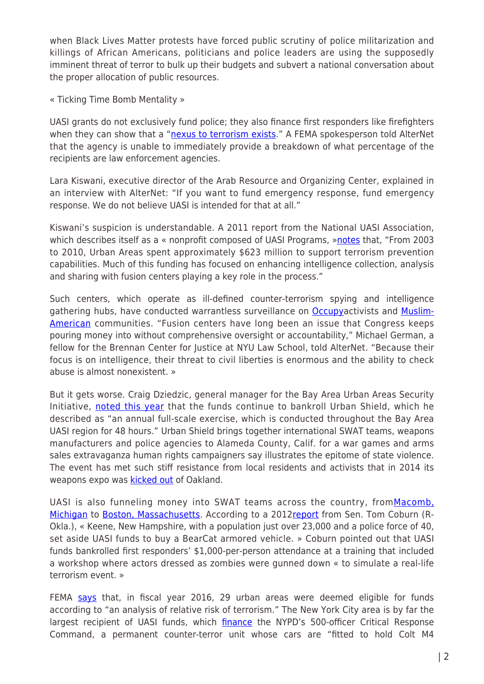when Black Lives Matter protests have forced public scrutiny of police militarization and killings of African Americans, politicians and police leaders are using the supposedly imminent threat of terror to bulk up their budgets and subvert a national conversation about the proper allocation of public resources.

« Ticking Time Bomb Mentality »

UASI grants do not exclusively fund police; they also finance first responders like firefighters when they can show that a ["nexus to terrorism exists.](http://www.fema.gov/media-library-data/1429291822887-7f203c9296fde6160b727475532c7796/FY2015HSGP_NOFO_v3.pdf)" A FEMA spokesperson told AlterNet that the agency is unable to immediately provide a breakdown of what percentage of the recipients are law enforcement agencies.

Lara Kiswani, executive director of the Arab Resource and Organizing Center, explained in an interview with AlterNet: "If you want to fund emergency response, fund emergency response. We do not believe UASI is intended for that at all."

Kiswani's suspicion is understandable. A 2011 report from the National UASI Association, which describes itself as a « nonprofit composed of UASI Programs, »[notes](https://www.portlandoregon.gov/rdpo/article/455154) that, "From 2003 to 2010, Urban Areas spent approximately \$623 million to support terrorism prevention capabilities. Much of this funding has focused on enhancing intelligence collection, analysis and sharing with fusion centers playing a key role in the process."

Such centers, which operate as ill-defined counter-terrorism spying and intelligence gathering hubs, have conducted warrantless surveillance on [Occupya](http://www.nytimes.com/2014/05/23/us/officials-cast-wide-net-in-monitoring-occupy-protests.html?_r=0)ctivists and [Muslim-](http://investigations.nbcnews.com/_news/2012/10/02/14187433-homeland-security-fusion-centers-spy-on-citizens-produce-shoddy-work-report-says)[American](http://investigations.nbcnews.com/_news/2012/10/02/14187433-homeland-security-fusion-centers-spy-on-citizens-produce-shoddy-work-report-says) communities. "Fusion centers have long been an issue that Congress keeps pouring money into without comprehensive oversight or accountability," Michael German, a fellow for the Brennan Center for Justice at NYU Law School, told AlterNet. "Because their focus is on intelligence, their threat to civil liberties is enormous and the ability to check abuse is almost nonexistent. »

But it gets worse. Craig Dziedzic, general manager for the Bay Area Urban Areas Security Initiative, [noted this year](https://www.urbanshield.org/index.php/bay-area-urban-area-security-initiative) that the funds continue to bankroll Urban Shield, which he described as "an annual full-scale exercise, which is conducted throughout the Bay Area UASI region for 48 hours." Urban Shield brings together international SWAT teams, weapons manufacturers and police agencies to Alameda County, Calif. for a war games and arms sales extravaganza human rights campaigners say illustrates the epitome of state violence. The event has met such stiff resistance from local residents and activists that in 2014 its weapons expo was **[kicked out](http://wagingnonviolence.org/2014/09/oakland-mayor-announces-urban-shield-will-returning-oakland/)** of Oakland.

UASI is also funneling money into SWAT teams across the country, from[Macomb,](http://www.macombdaily.com/article/MD/20150520/NEWS/150529965) [Michigan](http://www.macombdaily.com/article/MD/20150520/NEWS/150529965) to [Boston, Massachusetts](https://www.dhs.gov/news/2014/09/09/written-testimony-fema-senate-committee-homeland-security-and-governmental-affairs). According to a 2012[report](https://www.privacysos.org/sites/all/files/dhs_grants_report_11_29_12_embargoed.pdf) from Sen. Tom Coburn (R-Okla.), « Keene, New Hampshire, with a population just over 23,000 and a police force of 40, set aside UASI funds to buy a BearCat armored vehicle. » Coburn pointed out that UASI funds bankrolled first responders' \$1,000-per-person attendance at a training that included a workshop where actors dressed as zombies were gunned down « to simulate a real-life terrorism event. »

FEMA [says](http://www.fema.gov/media-library-data/1455636181424-ff41f62503684d511292c32d00d2a505/FY_2016_HSGP_Fact_Sheet_Final.pdf) that, in fiscal year 2016, 29 urban areas were deemed eligible for funds according to "an analysis of relative risk of terrorism." The New York City area is by far the largest recipient of UASI funds, which *finance* the NYPD's 500-officer Critical Response Command, a permanent counter-terror unit whose cars are "fitted to hold Colt M4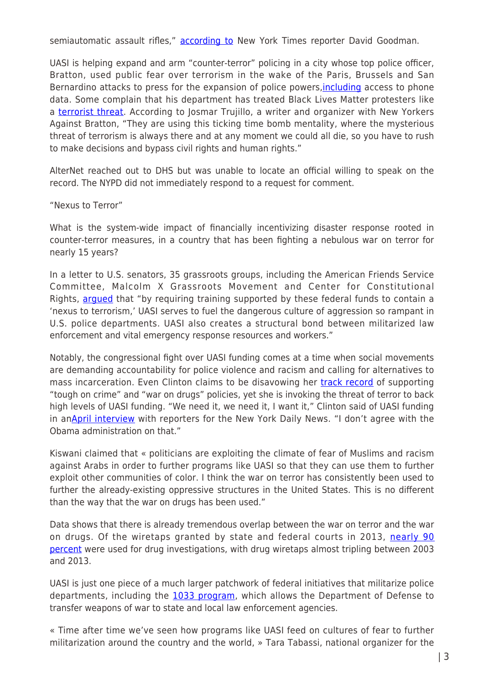semiautomatic assault rifles," [according to](http://www.nytimes.com/2015/11/21/nyregion/new-york-police-form-counterterrorism-force-with-more-firepower-and-training.html) New York Times reporter David Goodman.

UASI is helping expand and arm "counter-terror" policing in a city whose top police officer, Bratton, used public fear over terrorism in the wake of the Paris, Brussels and San Bernardino attacks to press for the expansion of police powers, [including](http://www.nytimes.com/2016/02/23/opinion/seeking-iphone-data-through-the-front-door.html) access to phone data. Some complain that his department has treated Black Lives Matter protesters like a [terrorist threat.](http://www.alternet.org/activism/hard-believe-police-are-treating-protest-movements-they-are-terrorists) According to Josmar Trujillo, a writer and organizer with New Yorkers Against Bratton, "They are using this ticking time bomb mentality, where the mysterious threat of terrorism is always there and at any moment we could all die, so you have to rush to make decisions and bypass civil rights and human rights."

AlterNet reached out to DHS but was unable to locate an official willing to speak on the record. The NYPD did not immediately respond to a request for comment.

## "Nexus to Terror"

What is the system-wide impact of financially incentivizing disaster response rooted in counter-terror measures, in a country that has been fighting a nebulous war on terror for nearly 15 years?

In a letter to U.S. senators, 35 grassroots groups, including the American Friends Service Committee, Malcolm X Grassroots Movement and Center for Constitutional Rights, [argued](https://www.warresisters.org/letter-senate-committee-appropriations-cut-uasi-funding) that "by requiring training supported by these federal funds to contain a 'nexus to terrorism,' UASI serves to fuel the dangerous culture of aggression so rampant in U.S. police departments. UASI also creates a structural bond between militarized law enforcement and vital emergency response resources and workers."

Notably, the congressional fight over UASI funding comes at a time when social movements are demanding accountability for police violence and racism and calling for alternatives to mass incarceration. Even Clinton claims to be disavowing her [track record](https://newrepublic.com/article/129433/clintons-war-drugs-black-lives-didnt-matter) of supporting "tough on crime" and "war on drugs" policies, yet she is invoking the threat of terror to back high levels of UASI funding. "We need it, we need it, I want it," Clinton said of UASI funding in an[April interview](http://www.nydailynews.com/news/politics/hillary-clinton-blasts-obama-anti-terror-funding-cut-article-1.2594716) with reporters for the New York Daily News. "I don't agree with the Obama administration on that."

Kiswani claimed that « politicians are exploiting the climate of fear of Muslims and racism against Arabs in order to further programs like UASI so that they can use them to further exploit other communities of color. I think the war on terror has consistently been used to further the already-existing oppressive structures in the United States. This is no different than the way that the war on drugs has been used."

Data shows that there is already tremendous overlap between the war on terror and the war on drugs. Of the wiretaps granted by state and federal courts in 2013, [nearly 90](https://www.washingtonpost.com/news/wonk/wp/2015/04/14/the-shared-roots-of-the-war-on-drugs-and-the-war-on-terror-in-one-chart/) [percent](https://www.washingtonpost.com/news/wonk/wp/2015/04/14/the-shared-roots-of-the-war-on-drugs-and-the-war-on-terror-in-one-chart/) were used for drug investigations, with drug wiretaps almost tripling between 2003 and 2013.

UASI is just one piece of a much larger patchwork of federal initiatives that militarize police departments, including the [1033 program](https://www.nps.gov/legal/laws/104th/104-201.pdf), which allows the Department of Defense to transfer weapons of war to state and local law enforcement agencies.

« Time after time we've seen how programs like UASI feed on cultures of fear to further militarization around the country and the world, » Tara Tabassi, national organizer for the